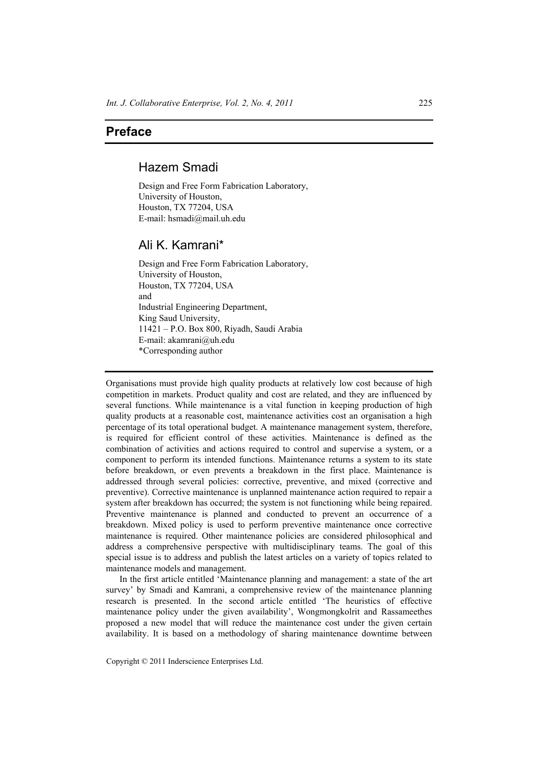## **Preface**

## Hazem Smadi

Design and Free Form Fabrication Laboratory, University of Houston, Houston, TX 77204, USA E-mail: hsmadi@mail.uh.edu

## Ali K. Kamrani\*

Design and Free Form Fabrication Laboratory, University of Houston, Houston, TX 77204, USA and Industrial Engineering Department, King Saud University, 11421 – P.O. Box 800, Riyadh, Saudi Arabia E-mail: akamrani@uh.edu \*Corresponding author

Organisations must provide high quality products at relatively low cost because of high competition in markets. Product quality and cost are related, and they are influenced by several functions. While maintenance is a vital function in keeping production of high quality products at a reasonable cost, maintenance activities cost an organisation a high percentage of its total operational budget. A maintenance management system, therefore, is required for efficient control of these activities. Maintenance is defined as the combination of activities and actions required to control and supervise a system, or a component to perform its intended functions. Maintenance returns a system to its state before breakdown, or even prevents a breakdown in the first place. Maintenance is addressed through several policies: corrective, preventive, and mixed (corrective and preventive). Corrective maintenance is unplanned maintenance action required to repair a system after breakdown has occurred; the system is not functioning while being repaired. Preventive maintenance is planned and conducted to prevent an occurrence of a breakdown. Mixed policy is used to perform preventive maintenance once corrective maintenance is required. Other maintenance policies are considered philosophical and address a comprehensive perspective with multidisciplinary teams. The goal of this special issue is to address and publish the latest articles on a variety of topics related to maintenance models and management.

In the first article entitled 'Maintenance planning and management: a state of the art survey' by Smadi and Kamrani, a comprehensive review of the maintenance planning research is presented. In the second article entitled 'The heuristics of effective maintenance policy under the given availability', Wongmongkolrit and Rassameethes proposed a new model that will reduce the maintenance cost under the given certain availability. It is based on a methodology of sharing maintenance downtime between

Copyright © 2011 Inderscience Enterprises Ltd.